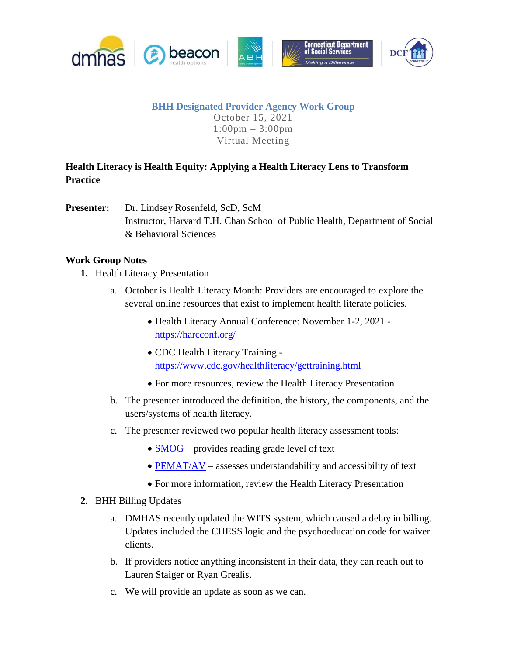

#### **BHH Designated Provider Agency Work Group** October 15, 2021 1:00pm – 3:00pm Virtual Meeting

# **Health Literacy is Health Equity: Applying a Health Literacy Lens to Transform Practice**

**Presenter:** Dr. Lindsey Rosenfeld, ScD, ScM Instructor, Harvard T.H. Chan School of Public Health, Department of Social & Behavioral Sciences

### **Work Group Notes**

- **1.** Health Literacy Presentation
	- a. October is Health Literacy Month: Providers are encouraged to explore the several online resources that exist to implement health literate policies.
		- Health Literacy Annual Conference: November 1-2, 2021 <https://harcconf.org/>
		- CDC Health Literacy Training <https://www.cdc.gov/healthliteracy/gettraining.html>
		- For more resources, review the Health Literacy Presentation
	- b. The presenter introduced the definition, the history, the components, and the users/systems of health literacy.
	- c. The presenter reviewed two popular health literacy assessment tools:
		- [SMOG](https://readabilityformulas.com/articles/how-to-use-smog-readability-formulas-on-health-literacy-materials.php) provides reading grade level of text
		- $\bullet$  [PEMAT/AV](https://www.ahrq.gov/health-literacy/patient-education/pemat.html) assesses understandability and accessibility of text
		- For more information, review the Health Literacy Presentation

### **2.** BHH Billing Updates

- a. DMHAS recently updated the WITS system, which caused a delay in billing. Updates included the CHESS logic and the psychoeducation code for waiver clients.
- b. If providers notice anything inconsistent in their data, they can reach out to Lauren Staiger or Ryan Grealis.
- c. We will provide an update as soon as we can.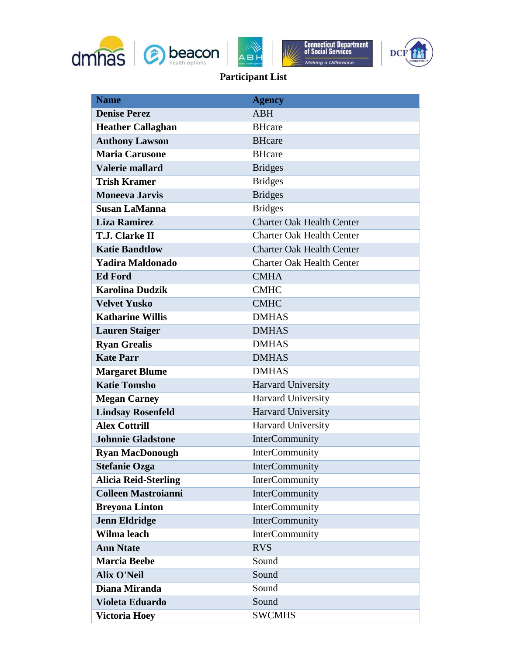







# **Participant List**

| <b>Name</b>                 | <b>Agency</b>                    |
|-----------------------------|----------------------------------|
| <b>Denise Perez</b>         | <b>ABH</b>                       |
| <b>Heather Callaghan</b>    | <b>BHcare</b>                    |
| <b>Anthony Lawson</b>       | <b>BHcare</b>                    |
| <b>Maria Carusone</b>       | <b>BHcare</b>                    |
| <b>Valerie mallard</b>      | <b>Bridges</b>                   |
| <b>Trish Kramer</b>         | <b>Bridges</b>                   |
| <b>Moneeva Jarvis</b>       | <b>Bridges</b>                   |
| <b>Susan LaManna</b>        | <b>Bridges</b>                   |
| <b>Liza Ramirez</b>         | <b>Charter Oak Health Center</b> |
| <b>T.J. Clarke II</b>       | <b>Charter Oak Health Center</b> |
| <b>Katie Bandtlow</b>       | <b>Charter Oak Health Center</b> |
| Yadira Maldonado            | <b>Charter Oak Health Center</b> |
| <b>Ed Ford</b>              | <b>CMHA</b>                      |
| <b>Karolina Dudzik</b>      | <b>CMHC</b>                      |
| <b>Velvet Yusko</b>         | <b>CMHC</b>                      |
| <b>Katharine Willis</b>     | <b>DMHAS</b>                     |
| <b>Lauren Staiger</b>       | <b>DMHAS</b>                     |
| <b>Ryan Grealis</b>         | <b>DMHAS</b>                     |
| <b>Kate Parr</b>            | <b>DMHAS</b>                     |
| <b>Margaret Blume</b>       | <b>DMHAS</b>                     |
| <b>Katie Tomsho</b>         | Harvard University               |
| <b>Megan Carney</b>         | Harvard University               |
| <b>Lindsay Rosenfeld</b>    | Harvard University               |
| <b>Alex Cottrill</b>        | Harvard University               |
| <b>Johnnie Gladstone</b>    | InterCommunity                   |
| <b>Ryan MacDonough</b>      | InterCommunity                   |
| <b>Stefanie Ozga</b>        | InterCommunity                   |
| <b>Alicia Reid-Sterling</b> | <b>InterCommunity</b>            |
| <b>Colleen Mastroianni</b>  | InterCommunity                   |
| <b>Breyona Linton</b>       | <b>InterCommunity</b>            |
| <b>Jenn Eldridge</b>        | InterCommunity                   |
| Wilma leach                 | InterCommunity                   |
| <b>Ann Ntate</b>            | <b>RVS</b>                       |
| <b>Marcia Beebe</b>         | Sound                            |
| <b>Alix O'Neil</b>          | Sound                            |
| Diana Miranda               | Sound                            |
| <b>Violeta Eduardo</b>      | Sound                            |
| <b>Victoria Hoey</b>        | <b>SWCMHS</b>                    |